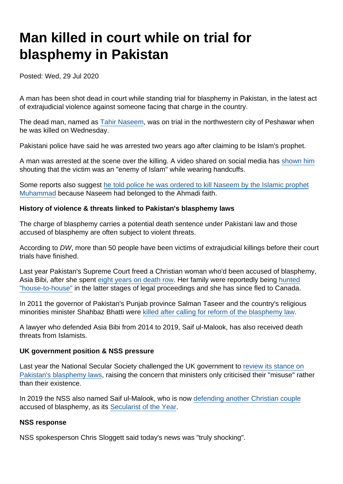# Man killed in court while on trial for blasphemy in Pakistan

Posted: Wed, 29 Jul 2020

A man has been shot dead in court while standing trial for blasphemy in Pakistan, in the latest act of extrajudicial violence against someone facing that charge in the country.

The dead man, named as [Tahir Naseem](https://theprint.in/world/ahmadi-man-under-trial-for-blasphemy-shot-dead-inside-courtroom-in-pakistan/471004/), was on trial in the northwestern city of Peshawar when he was killed on Wednesday.

Pakistani police have said he was arrested two years ago after claiming to be Islam's prophet.

A man was arrested at the scene over the killing. A video shared on social media has [shown him](https://www.bbc.co.uk/news/world-asia-53582578) shouting that the victim was an "enemy of Islam" while wearing handcuffs.

Some reports also suggest [he told police he was ordered to kill Naseem by the Islamic prophet](https://www.dw.com/en/pakistan-man-accused-of-blasphemy-shot-dead-at-court-trial/a-54365714) [Muhammad](https://www.dw.com/en/pakistan-man-accused-of-blasphemy-shot-dead-at-court-trial/a-54365714) because Naseem had belonged to the Ahmadi faith.

History of violence & threats linked to Pakistan's blasphemy laws

The charge of blasphemy carries a potential death sentence under Pakistani law and those accused of blasphemy are often subject to violent threats.

According to DW, more than 50 people have been victims of extrajudicial killings before their court trials have finished.

Last year Pakistan's Supreme Court freed a Christian woman who'd been accused of blasphemy, Asia Bibi, after she spent [eight years on death row](https://www.secularism.org.uk/news/2019/01/pakistani-court-upholds-blasphemy-acquittal-in-death-row-case). Her family were reportedly being [hunted](https://www.theguardian.com/world/2018/nov/21/asia-bibi-family-being-hunted-house-to-house-in-pakistan) ["house-to-house"](https://www.theguardian.com/world/2018/nov/21/asia-bibi-family-being-hunted-house-to-house-in-pakistan) in the latter stages of legal proceedings and she has since fled to Canada.

In 2011 the governor of Pakistan's Punjab province Salman Taseer and the country's religious minorities minister Shahbaz Bhatti were [killed after calling for reform of the blasphemy law.](https://www.bbc.co.uk/news/world-asia-48204815)

A lawyer who defended Asia Bibi from 2014 to 2019, Saif ul-Malook, has also received death threats from Islamists.

UK government position & NSS pressure

Last year the National Secular Society challenged the UK government to [review its stance on](https://www.secularism.org.uk/news/2019/08/nss-urges-government-to-review-its-language-on-blasphemy-laws) [Pakistan's blasphemy laws](https://www.secularism.org.uk/news/2019/08/nss-urges-government-to-review-its-language-on-blasphemy-laws), raising the concern that ministers only criticised their "misuse" rather than their existence.

In 2019 the NSS also named Saif ul-Malook, who is now [defending another Christian couple](https://www.bbc.co.uk/news/world-asia-52889974) accused of blasphemy, as its [Secularist of the Year](https://www.secularism.org.uk/news/2019/05/lawyer-who-defended-asia-bibi-named-secularist-of-the-year).

NSS response

NSS spokesperson Chris Sloggett said today's news was "truly shocking".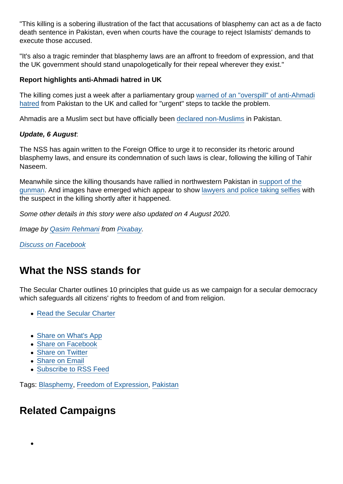"This killing is a sobering illustration of the fact that accusations of blasphemy can act as a de facto death sentence in Pakistan, even when courts have the courage to reject Islamists' demands to execute those accused.

"It's also a tragic reminder that blasphemy laws are an affront to freedom of expression, and that the UK government should stand unapologetically for their repeal wherever they exist."

Report highlights anti-Ahmadi hatred in UK

The killing comes just a week after a parliamentary group [warned of an "overspill" of anti-Ahmadi](https://www.secularism.org.uk/news/2020/07/urgent-steps-needed-to-curb-anti-ahmadi-extremism-in-uk-report-says) [hatred](https://www.secularism.org.uk/news/2020/07/urgent-steps-needed-to-curb-anti-ahmadi-extremism-in-uk-report-says) from Pakistan to the UK and called for "urgent" steps to tackle the problem.

Ahmadis are a Muslim sect but have officially been [declared non-Muslims](https://www.theguardian.com/world/2020/jul/29/pakistani-man-tahir-ahmed-naseem-blasphemy-laws-shot-dead-in-peshawar-court) in Pakistan.

Update, 6 August :

The NSS has again written to the Foreign Office to urge it to reconsider its rhetoric around blasphemy laws, and ensure its condemnation of such laws is clear, following the killing of Tahir Naseem.

Meanwhile since the killing thousands have rallied in northwestern Pakistan in [support of the](https://www.washingtonpost.com/world/the_americas/us-says-man-gunned-down-in-pakistani-court-was-american/2020/07/31/a9c86ac6-d31f-11ea-826b-cc394d824e35_story.html) [gunman](https://www.washingtonpost.com/world/the_americas/us-says-man-gunned-down-in-pakistani-court-was-american/2020/07/31/a9c86ac6-d31f-11ea-826b-cc394d824e35_story.html). And images have emerged which appear to show [lawyers and police taking selfies](https://twitter.com/Gulalai_Ismail/status/1290368970009313280) with the suspect in the killing shortly after it happened.

Some other details in this story were also updated on 4 August 2020.

Image by [Qasim Rehmani](https://pixabay.com/users/qkcreativity92-11951897/?utm_source=link-attribution&utm_medium=referral&utm_campaign=image&utm_content=4775471) from [Pixabay](https://pixabay.com/?utm_source=link-attribution&utm_medium=referral&utm_campaign=image&utm_content=4775471).

[Discuss on Facebook](https://www.facebook.com/NationalSecularSociety/posts/3175948279140168?__xts__[0]=68.ARDpPXo3g4TNX89hS6W6jqBV27jXXNzuGDKD_sUBWs4AEfa4GqhWukbzHKgqlOSo1SyOcV-QMBADHQ6hrqZg8JDfeu8jdp1MU3YBOkQruaOo53LzJ1z_JxWz4s5GmBRR4lW7iRpO2BsuFR9yK5-PQukI7NFV6bMNnHbxLxGZoKLDrGXwJ9DleJAb96zTXf3lsq2weLGoyJoykUxnGepLsy48VnHvdkzM1Ucsm8IBUQnnW1jEQ_eZ7cPinaMUGL9fyEMvhlBzHXlIOF7E7Oq5-lsRZzv6qGoj0P9r-My_JA9yhgXhxi9E-4HNLpiYbtQu7XRKWXOU1K6VLSZD0H0bklVeug&__tn__=-R)

## What the NSS stands for

The Secular Charter outlines 10 principles that guide us as we campaign for a secular democracy which safeguards all citizens' rights to freedom of and from religion.

- [Read the Secular Charter](https://www.secularism.org.uk/the-secular-charter.html)
- [Share on What's App](whatsapp://send?text=http://www.secularism.org.uk/news/2020/07/man-killed-in-court-while-on-trial-for-blasphemy-in-pakistan?format=pdf)
- [Share on Facebook](https://www.facebook.com/sharer/sharer.php?u=http://www.secularism.org.uk/news/2020/07/man-killed-in-court-while-on-trial-for-blasphemy-in-pakistan?format=pdf&t=Man+killed+in+court+while+on+trial+for+blasphemy+in+Pakistan)
- [Share on Twitter](https://twitter.com/intent/tweet?url=http://www.secularism.org.uk/news/2020/07/man-killed-in-court-while-on-trial-for-blasphemy-in-pakistan?format=pdf&text=Man+killed+in+court+while+on+trial+for+blasphemy+in+Pakistan&via=NatSecSoc)
- [Share on Email](https://www.secularism.org.uk/share.html?url=http://www.secularism.org.uk/news/2020/07/man-killed-in-court-while-on-trial-for-blasphemy-in-pakistan?format=pdf&title=Man+killed+in+court+while+on+trial+for+blasphemy+in+Pakistan)
- [Subscribe to RSS Feed](/mnt/web-data/www/cp-nss/feeds/rss/news)

Tags: [Blasphemy,](https://www.secularism.org.uk/news/tags/Blasphemy) [Freedom of Expression](https://www.secularism.org.uk/news/tags/Freedom+of+Expression), [Pakistan](https://www.secularism.org.uk/news/tags/Pakistan)

## Related Campaigns